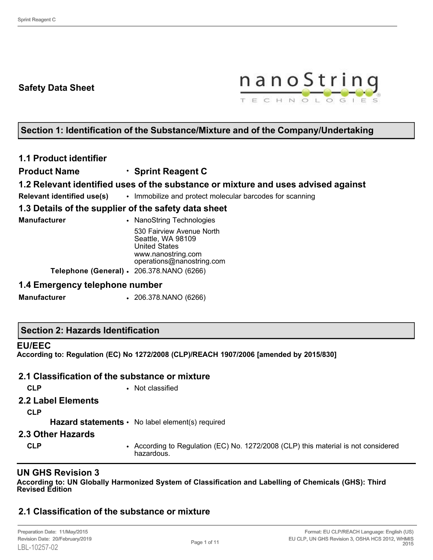# **Safety Data Sheet**



# **Section 1: Identification of the Substance/Mixture and of the Company/Undertaking**

# **1.1 Product identifier**

**Product Name** • **Sprint Reagent C**

## **1.2 Relevant identified uses of the substance or mixture and uses advised against**

**Relevant identified use(s)** • Immobilize and protect molecular barcodes for scanning

## **1.3 Details of the supplier of the safety data sheet**

**Manufacturer • NanoString Technologies** 530 Fairview Avenue North Seattle, WA 98109 United States www.nanostring.com operations@nanostring.com **Telephone (General)** • 206.378.NANO (6266)

#### **1.4 Emergency telephone number**

**Manufacturer** • 206.378.NANO (6266)

#### **Section 2: Hazards Identification**

#### **EU/EEC**

**According to: Regulation (EC) No 1272/2008 (CLP)/REACH 1907/2006 [amended by 2015/830]**

# **2.1 Classification of the substance or mixture**

**CLP** • Not classified

#### **2.2 Label Elements**

**CLP**

Hazard statements • No label element(s) required

#### **2.3 Other Hazards**

**CLP** • According to Regulation (EC) No. 1272/2008 (CLP) this material is not considered hazardous.

# **UN GHS Revision 3**

**According to: UN Globally Harmonized System of Classification and Labelling of Chemicals (GHS): Third Revised Edition**

# **2.1 Classification of the substance or mixture**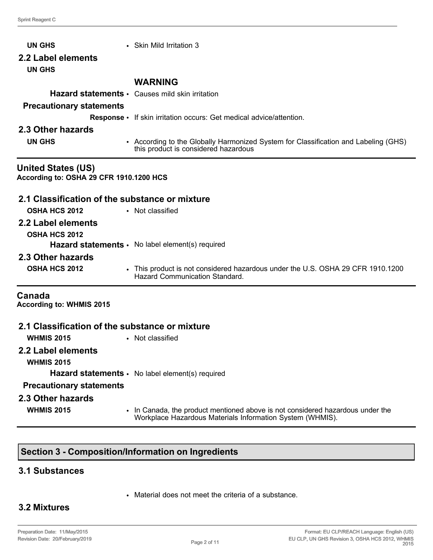| <b>UN GHS</b>                                                        | • Skin Mild Irritation 3                                                                                                    |
|----------------------------------------------------------------------|-----------------------------------------------------------------------------------------------------------------------------|
| 2.2 Label elements                                                   |                                                                                                                             |
| <b>UN GHS</b>                                                        |                                                                                                                             |
|                                                                      | <b>WARNING</b>                                                                                                              |
|                                                                      | Hazard statements · Causes mild skin irritation                                                                             |
| <b>Precautionary statements</b>                                      |                                                                                                                             |
|                                                                      | Response • If skin irritation occurs: Get medical advice/attention.                                                         |
| 2.3 Other hazards                                                    |                                                                                                                             |
| <b>UN GHS</b>                                                        | • According to the Globally Harmonized System for Classification and Labeling (GHS)<br>this product is considered hazardous |
| <b>United States (US)</b><br>According to: OSHA 29 CFR 1910.1200 HCS |                                                                                                                             |
| 2.1 Classification of the substance or mixture                       |                                                                                                                             |
| <b>OSHA HCS 2012</b><br>• Not classified                             |                                                                                                                             |
| 2.2 Label elements                                                   |                                                                                                                             |
| <b>OSHA HCS 2012</b>                                                 |                                                                                                                             |
|                                                                      | Hazard statements · No label element(s) required                                                                            |
| 2.3 Other hazards                                                    |                                                                                                                             |
| <b>OSHA HCS 2012</b>                                                 | • This product is not considered hazardous under the U.S. OSHA 29 CFR 1910.1200<br><b>Hazard Communication Standard.</b>    |
| Canada<br><b>According to: WHMIS 2015</b>                            |                                                                                                                             |
| 2.1 Classification of the substance or mixture                       |                                                                                                                             |
| <b>WHMIS 2015</b>                                                    | • Not classified                                                                                                            |
| 2.2 Label elements<br><b>WHMIS 2015</b>                              |                                                                                                                             |
|                                                                      | Hazard statements · No label element(s) required                                                                            |
| <b>Precautionary statements</b>                                      |                                                                                                                             |
| 2.3 Other hazards                                                    |                                                                                                                             |
|                                                                      |                                                                                                                             |

- 
- **WHMIS 2015** In Canada, the product mentioned above is not considered hazardous under the Workplace Hazardous Materials Information System (WHMIS).

# **Section 3 - Composition/Information on Ingredients**

# **3.1 Substances**

• Material does not meet the criteria of a substance.

# **3.2 Mixtures**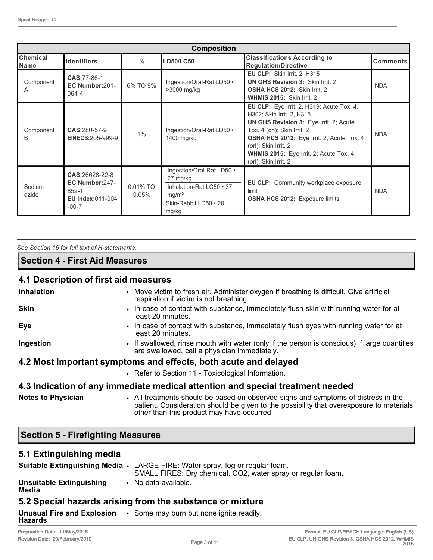| <b>Composition</b>             |                                                                                     |                         |                                                                                                                          |                                                                                                                                                                                                                                                                                                      |                 |
|--------------------------------|-------------------------------------------------------------------------------------|-------------------------|--------------------------------------------------------------------------------------------------------------------------|------------------------------------------------------------------------------------------------------------------------------------------------------------------------------------------------------------------------------------------------------------------------------------------------------|-----------------|
| <b>Chemical</b><br><b>Name</b> | <b>Identifiers</b>                                                                  | $\frac{0}{0}$           | <b>LD50/LC50</b>                                                                                                         | <b>Classifications According to</b><br><b>Regulation/Directive</b>                                                                                                                                                                                                                                   | <b>Comments</b> |
| Component<br>A                 | CAS: 77-86-1<br>EC Number:201-<br>064-4                                             | 6% TO 9%                | Ingestion/Oral-Rat LD50 •<br>>3000 mg/kg                                                                                 | EU CLP: Skin Irrit. 2, H315<br><b>UN GHS Revision 3: Skin Irrit. 2</b><br><b>OSHA HCS 2012: Skin Irrit. 2</b><br>WHMIS 2015: Skin Irrit. 2                                                                                                                                                           | <b>NDA</b>      |
| Component<br>B                 | CAS:280-57-9<br>EINECS: 205-999-9                                                   | 1%                      | Ingestion/Oral-Rat LD50 .<br>1400 mg/kg                                                                                  | EU CLP: Eye Irrit. 2, H319; Acute Tox. 4,<br>H302; Skin Irrit. 2, H315<br><b>UN GHS Revision 3: Eye Irrit. 2; Acute</b><br>Tox. 4 (orl); Skin Irrit. 2<br><b>OSHA HCS 2012:</b> Eye Irrit. 2; Acute Tox. 4<br>(orl); Skin Irrit. 2<br>WHMIS 2015: Eye Irrit. 2; Acute Tox. 4<br>(orl); Skin Irrit. 2 | <b>NDA</b>      |
| Sodium<br>azide                | CAS:26628-22-8<br>EC Number:247-<br>$852 - 1$<br><b>EU Index:011-004</b><br>$-00-7$ | $0.01\%$ TO<br>$0.05\%$ | Ingestion/Oral-Rat LD50 .<br>27 mg/kg<br>Inhalation-Rat LC50 • 37<br>mg/m <sup>3</sup><br>Skin-Rabbit LD50 • 20<br>mg/kg | EU CLP: Community workplace exposure<br>limit<br><b>OSHA HCS 2012: Exposure limits</b>                                                                                                                                                                                                               | <b>NDA</b>      |

| See Section 16 for full text of H-statements. |  |  |
|-----------------------------------------------|--|--|
| <b>Section 4 - First Aid Measures</b>         |  |  |

# **4.1 Description of first aid measures**

| <b>Inhalation</b>                        | • Move victim to fresh air. Administer oxygen if breathing is difficult. Give artificial<br>respiration if victim is not breathing.                                                                                          |
|------------------------------------------|------------------------------------------------------------------------------------------------------------------------------------------------------------------------------------------------------------------------------|
| <b>Skin</b>                              | • In case of contact with substance, immediately flush skin with running water for at<br>least 20 minutes.                                                                                                                   |
| <b>Eye</b>                               | • In case of contact with substance, immediately flush eyes with running water for at<br>least 20 minutes.                                                                                                                   |
| Ingestion                                | • If swallowed, rinse mouth with water (only if the person is conscious) If large quantities<br>are swallowed, call a physician immediately.                                                                                 |
|                                          | 4.2 Most important symptoms and effects, both acute and delayed                                                                                                                                                              |
|                                          | • Refer to Section 11 - Toxicological Information.                                                                                                                                                                           |
|                                          | 4.3 Indication of any immediate medical attention and special treatment needed                                                                                                                                               |
| <b>Notes to Physician</b>                | • All treatments should be based on observed signs and symptoms of distress in the<br>patient. Consideration should be given to the possibility that overexposure to materials<br>other than this product may have occurred. |
| <b>Section 5 - Firefighting Measures</b> |                                                                                                                                                                                                                              |

# **5.1 Extinguishing media**

|                                              | Suitable Extinguishing Media . LARGE FIRE: Water spray, fog or regular foam.<br>SMALL FIRES: Dry chemical, CO2, water spray or regular foam. |
|----------------------------------------------|----------------------------------------------------------------------------------------------------------------------------------------------|
| <b>Unsuitable Extinguishing</b><br>Media     | • No data available.                                                                                                                         |
|                                              | 5.2 Special hazards arising from the substance or mixture                                                                                    |
| <b>Unusual Fire and Explosion</b><br>Hazards | • Some may burn but none ignite readily.                                                                                                     |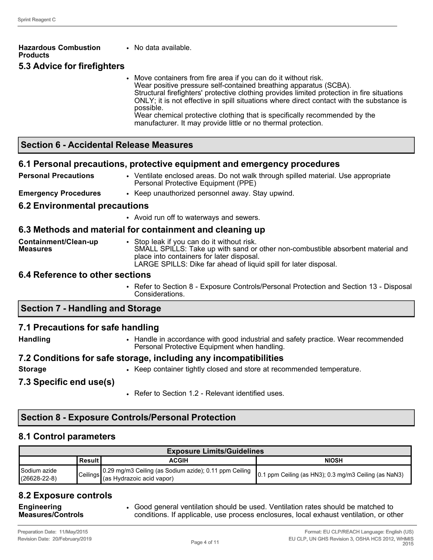| <b>Hazardous Combustion</b><br><b>Products</b> | • No data available.                                                                                                                                                                                                                                                                                                                                                                                                                                                                     |
|------------------------------------------------|------------------------------------------------------------------------------------------------------------------------------------------------------------------------------------------------------------------------------------------------------------------------------------------------------------------------------------------------------------------------------------------------------------------------------------------------------------------------------------------|
| 5.3 Advice for firefighters                    |                                                                                                                                                                                                                                                                                                                                                                                                                                                                                          |
|                                                | Move containers from fire area if you can do it without risk.<br>Wear positive pressure self-contained breathing apparatus (SCBA).<br>Structural firefighters' protective clothing provides limited protection in fire situations<br>ONLY; it is not effective in spill situations where direct contact with the substance is<br>possible.<br>Wear chemical protective clothing that is specifically recommended by the<br>manufacturer. It may provide little or no thermal protection. |
| <b>Section 6 - Accidental Release Measures</b> |                                                                                                                                                                                                                                                                                                                                                                                                                                                                                          |
|                                                | 6.1 Personal precautions, protective equipment and emergency procedures                                                                                                                                                                                                                                                                                                                                                                                                                  |
| <b>Personal Precautions</b>                    | • Ventilate enclosed areas. Do not walk through spilled material. Use appropriate<br>Personal Protective Equipment (PPE)                                                                                                                                                                                                                                                                                                                                                                 |

**Emergency Procedures** • Keep unauthorized personnel away. Stay upwind.

#### **6.2 Environmental precautions**

• Avoid run off to waterways and sewers.

#### **6.3 Methods and material for containment and cleaning up**

| Containment/Clean-up<br><b>Measures</b> | Stop leak if you can do it without risk.<br>SMALL SPILLS: Take up with sand or other non-combustible absorbent material and |
|-----------------------------------------|-----------------------------------------------------------------------------------------------------------------------------|
|                                         | place into containers for later disposal.                                                                                   |
|                                         | LARGE SPILLS: Dike far ahead of liquid spill for later disposal.                                                            |

#### **6.4 Reference to other sections**

• Refer to Section 8 - Exposure Controls/Personal Protection and Section 13 - Disposal Considerations.

# **Section 7 - Handling and Storage**

#### **7.1 Precautions for safe handling**

**Handling** • Handle in accordance with good industrial and safety practice. Wear recommended Personal Protective Equipment when handling.

#### **7.2 Conditions for safe storage, including any incompatibilities**

- 
- **Storage** Keep container tightly closed and store at recommended temperature.

#### **7.3 Specific end use(s)**

• Refer to Section 1.2 - Relevant identified uses.

# **Section 8 - Exposure Controls/Personal Protection**

#### **8.1 Control parameters**

| <b>Exposure Limits/Guidelines</b>  |            |                                                                                           |                                                               |
|------------------------------------|------------|-------------------------------------------------------------------------------------------|---------------------------------------------------------------|
|                                    | l Result I | ACGIH                                                                                     | <b>NIOSH</b>                                                  |
| Sodium azide<br>$(26628 - 22 - 8)$ |            | Ceilings 0.29 mg/m3 Ceiling (as Sodium azide); 0.11 ppm Ceiling (as Hydrazoic acid vapor) | $\vert$ 0.1 ppm Ceiling (as HN3); 0.3 mg/m3 Ceiling (as NaN3) |

# **8.2 Exposure controls**

**Engineering Measures/Controls** • Good general ventilation should be used. Ventilation rates should be matched to conditions. If applicable, use process enclosures, local exhaust ventilation, or other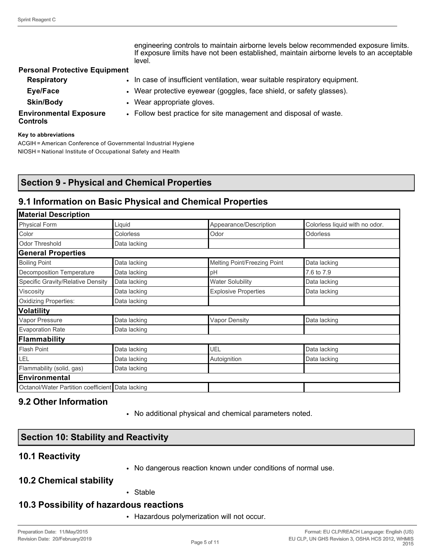|                                                  | engineering controls to maintain airborne levels below recommended exposure limits.<br>If exposure limits have not been established, maintain airborne levels to an acceptable<br>level. |
|--------------------------------------------------|------------------------------------------------------------------------------------------------------------------------------------------------------------------------------------------|
| <b>Personal Protective Equipment</b>             |                                                                                                                                                                                          |
| <b>Respiratory</b>                               | . In case of insufficient ventilation, wear suitable respiratory equipment.                                                                                                              |
| Eye/Face                                         | • Wear protective eyewear (goggles, face shield, or safety glasses).                                                                                                                     |
| <b>Skin/Body</b>                                 | • Wear appropriate gloves.                                                                                                                                                               |
| <b>Environmental Exposure</b><br><b>Controls</b> | • Follow best practice for site management and disposal of waste.                                                                                                                        |

#### **Key to abbreviations**

ACGIH = American Conference of Governmental Industrial Hygiene NIOSH = National Institute of Occupational Safety and Health

## **Section 9 - Physical and Chemical Properties**

#### **9.1 Information on Basic Physical and Chemical Properties**

| <b>Material Description</b>                      |                              |                                |  |
|--------------------------------------------------|------------------------------|--------------------------------|--|
| Liquid                                           | Appearance/Description       | Colorless liquid with no odor. |  |
| Colorless                                        | Odor                         | Odorless                       |  |
| Data lacking                                     |                              |                                |  |
|                                                  |                              |                                |  |
| Data lacking                                     | Melting Point/Freezing Point | Data lacking                   |  |
| Data lacking                                     | pH                           | 7.6 to 7.9                     |  |
| Data lacking                                     | <b>Water Solubility</b>      | Data lacking                   |  |
| Data lacking                                     | <b>Explosive Properties</b>  | Data lacking                   |  |
| Data lacking                                     |                              |                                |  |
|                                                  |                              |                                |  |
| Data lacking                                     | <b>Vapor Density</b>         | Data lacking                   |  |
| Data lacking                                     |                              |                                |  |
|                                                  |                              |                                |  |
| Data lacking                                     | UEL                          | Data lacking                   |  |
| Data lacking                                     | Autoignition                 | Data lacking                   |  |
| Data lacking                                     |                              |                                |  |
|                                                  |                              |                                |  |
| Octanol/Water Partition coefficient Data lacking |                              |                                |  |
|                                                  |                              |                                |  |

#### **9.2 Other Information**

• No additional physical and chemical parameters noted.

#### **Section 10: Stability and Reactivity**

#### **10.1 Reactivity**

• No dangerous reaction known under conditions of normal use.

#### **10.2 Chemical stability**

• Stable

#### **10.3 Possibility of hazardous reactions**

• Hazardous polymerization will not occur.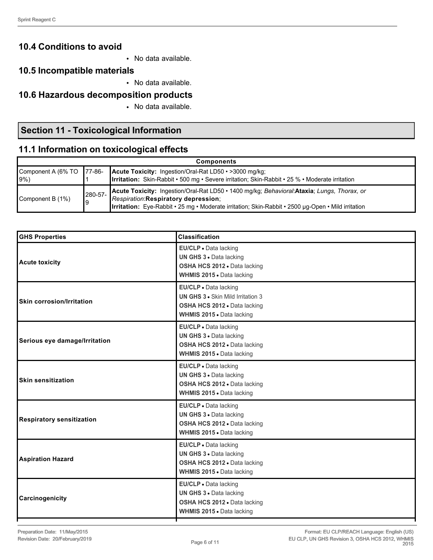# **10.4 Conditions to avoid**

• No data available.

## **10.5 Incompatible materials**

• No data available.

# **10.6 Hazardous decomposition products**

• No data available.

# **Section 11 - Toxicological Information**

# **11.1 Information on toxicological effects**

| <b>Components</b>                   |               |                                                                                                                                                                                                                                          |
|-------------------------------------|---------------|------------------------------------------------------------------------------------------------------------------------------------------------------------------------------------------------------------------------------------------|
| Component A (6% TO 77-86-<br>$9\%)$ |               | <b>Acute Toxicity:</b> Ingestion/Oral-Rat LD50 • >3000 mg/kg;<br><b>Irritation:</b> Skin-Rabbit • 500 mg • Severe irritation; Skin-Rabbit • 25 % • Moderate irritation                                                                   |
| Component B (1%)                    | 280-57-<br>19 | Acute Toxicity: Ingestion/Oral-Rat LD50 · 1400 mg/kg; Behavioral: Ataxia; Lungs, Thorax, or<br>Respiration:Respiratory depression;<br>Irritation: Eye-Rabbit · 25 mg · Moderate irritation; Skin-Rabbit · 2500 µg-Open · Mild irritation |

| <b>GHS Properties</b>            | <b>Classification</b>                                                                                                          |
|----------------------------------|--------------------------------------------------------------------------------------------------------------------------------|
| <b>Acute toxicity</b>            | EU/CLP . Data lacking<br>UN GHS 3 . Data lacking<br>OSHA HCS 2012 . Data lacking<br>WHMIS 2015 . Data lacking                  |
| <b>Skin corrosion/Irritation</b> | EU/CLP · Data lacking<br><b>UN GHS 3 .</b> Skin Mild Irritation 3<br>OSHA HCS 2012 . Data lacking<br>WHMIS 2015 . Data lacking |
| Serious eye damage/Irritation    | EU/CLP · Data lacking<br>UN GHS 3 · Data lacking<br>OSHA HCS 2012 . Data lacking<br>WHMIS 2015 . Data lacking                  |
| <b>Skin sensitization</b>        | EU/CLP . Data lacking<br>UN GHS 3 . Data lacking<br>OSHA HCS 2012 . Data lacking<br>WHMIS 2015 . Data lacking                  |
| <b>Respiratory sensitization</b> | EU/CLP · Data lacking<br>UN GHS 3 . Data lacking<br>OSHA HCS 2012 . Data lacking<br>WHMIS 2015 . Data lacking                  |
| <b>Aspiration Hazard</b>         | EU/CLP . Data lacking<br>UN GHS 3 . Data lacking<br>OSHA HCS 2012 . Data lacking<br>WHMIS 2015 . Data lacking                  |
| Carcinogenicity                  | EU/CLP . Data lacking<br>UN GHS 3 . Data lacking<br>OSHA HCS 2012 · Data lacking<br>WHMIS 2015 . Data lacking                  |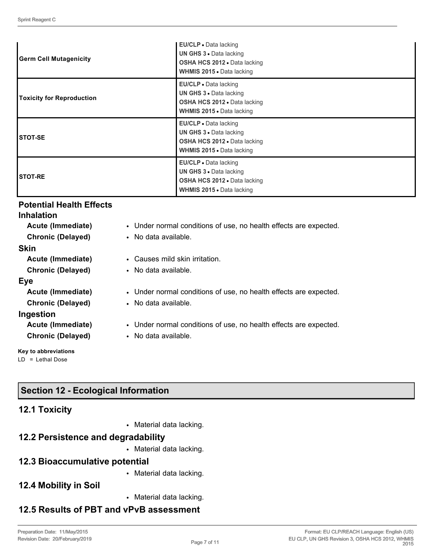| <b>Germ Cell Mutagenicity</b>    | <b>EU/CLP</b> • Data lacking<br><b>UN GHS 3 • Data lacking</b><br>OSHA HCS 2012 . Data lacking<br><b>WHMIS 2015</b> • Data lacking |
|----------------------------------|------------------------------------------------------------------------------------------------------------------------------------|
| <b>Toxicity for Reproduction</b> | EU/CLP - Data lacking<br>UN GHS 3 · Data lacking<br><b>OSHA HCS 2012 •</b> Data lacking<br><b>WHMIS 2015 • Data lacking</b>        |
| <b>STOT-SE</b>                   | EU/CLP · Data lacking<br><b>UN GHS 3 • Data lacking</b><br><b>OSHA HCS 2012 •</b> Data lacking<br><b>WHMIS 2015</b> Data lacking   |
| <b>STOT-RE</b>                   | EU/CLP • Data lacking<br><b>UN GHS 3 • Data lacking</b><br>OSHA HCS 2012 . Data lacking<br>WHMIS 2015 . Data lacking               |

#### **Potential Health Effects**

| <b>Inhalation</b>        |                                                                   |
|--------------------------|-------------------------------------------------------------------|
| Acute (Immediate)        | • Under normal conditions of use, no health effects are expected. |
| <b>Chronic (Delayed)</b> | • No data available.                                              |
| <b>Skin</b>              |                                                                   |
| Acute (Immediate)        | • Causes mild skin irritation.                                    |
| <b>Chronic (Delayed)</b> | • No data available.                                              |
| Eye                      |                                                                   |
| Acute (Immediate)        | • Under normal conditions of use, no health effects are expected. |
| <b>Chronic (Delayed)</b> | • No data available.                                              |
| Ingestion                |                                                                   |
| Acute (Immediate)        | • Under normal conditions of use, no health effects are expected. |
| <b>Chronic (Delayed)</b> | • No data available.                                              |
| Key to abbreviations     |                                                                   |

LD = Lethal Dose

# **Section 12 - Ecological Information**

# **12.1 Toxicity**

• Material data lacking.

# **12.2 Persistence and degradability**

• Material data lacking.

## **12.3 Bioaccumulative potential**

- Material data lacking.
- **12.4 Mobility in Soil**
- Material data lacking.

# **12.5 Results of PBT and vPvB assessment**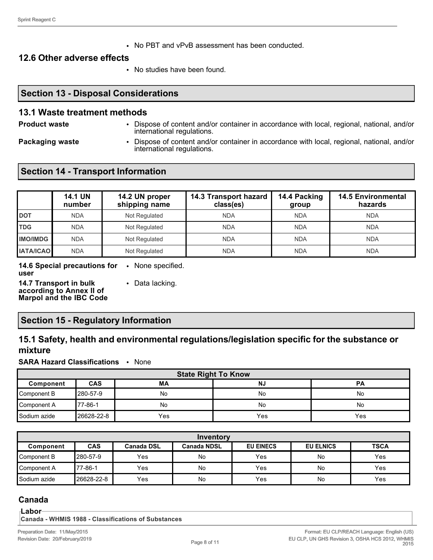• No PBT and vPvB assessment has been conducted.

#### **12.6 Other adverse effects**

• No studies have been found.

#### **Section 13 - Disposal Considerations**

#### **13.1 Waste treatment methods**

**Product waste** • Dispose of content and/or container in accordance with local, regional, national, and/or international regulations.

**Packaging waste** • Dispose of content and/or container in accordance with local, regional, national, and/or international regulations.

## **Section 14 - Transport Information**

|                  | <b>14.1 UN</b><br>number | 14.2 UN proper<br>shipping name | 14.3 Transport hazard<br>class(es) | 14.4 Packing<br>group | <b>14.5 Environmental</b><br>hazards |
|------------------|--------------------------|---------------------------------|------------------------------------|-----------------------|--------------------------------------|
| <b>DOT</b>       | <b>NDA</b>               | Not Regulated                   | <b>NDA</b>                         | <b>NDA</b>            | <b>NDA</b>                           |
| <b>TDG</b>       | <b>NDA</b>               | Not Regulated                   | <b>NDA</b>                         | <b>NDA</b>            | <b>NDA</b>                           |
| <b>IMO/IMDG</b>  | <b>NDA</b>               | Not Regulated                   | <b>NDA</b>                         | <b>NDA</b>            | <b>NDA</b>                           |
| <b>IATA/ICAO</b> | <b>NDA</b>               | Not Regulated                   | <b>NDA</b>                         | <b>NDA</b>            | <b>NDA</b>                           |

**14.6 Special precautions for**  • None specified. **user**

**14.7 Transport in bulk according to Annex II of Marpol and the IBC Code** • Data lacking.

#### **Section 15 - Regulatory Information**

# **15.1 Safety, health and environmental regulations/legislation specific for the substance or mixture**

**SARA Hazard Classifications** • None

| <b>State Right To Know</b> |             |     |           |     |
|----------------------------|-------------|-----|-----------|-----|
| Component                  | <b>CAS</b>  | МA  | <b>NJ</b> | PА  |
| Component B                | l280-57-9   | No  | No        | No  |
| Component A                | 77-86-1     | No  | No        | No  |
| Sodium azide               | l26628-22-8 | Yes | Yes       | Yes |

| Inventory                                                                                                                 |            |            |           |     |    |     |
|---------------------------------------------------------------------------------------------------------------------------|------------|------------|-----------|-----|----|-----|
| <b>CAS</b><br><b>EU EINECS</b><br><b>EU ELNICS</b><br><b>TSCA</b><br><b>Canada NDSL</b><br><b>Canada DSL</b><br>Component |            |            |           |     |    |     |
| Component B                                                                                                               | 280-57-9   | Yes        | <b>No</b> | Yes | No | Yes |
| Component A                                                                                                               | 77-86-1    | <b>Yes</b> | <b>No</b> | Yes | No | Yes |
| <b>S</b> odium azide                                                                                                      | 26628-22-8 | Yes        | No        | Yes | No | Yes |

# **Canada**

**Labor**

**Canada - WHMIS 1988 - Classifications of Substances**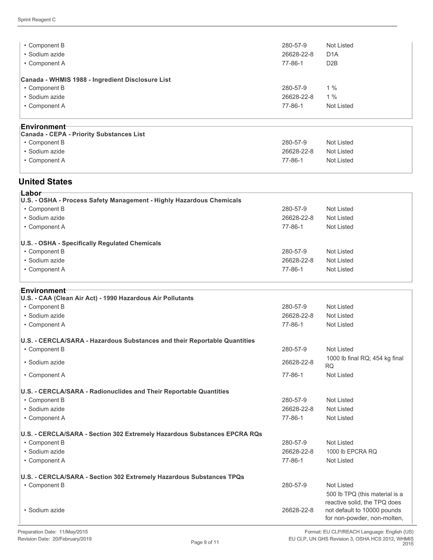| • Component B                                    | 280-57-9   | Not Listed       |  |
|--------------------------------------------------|------------|------------------|--|
| • Sodium azide                                   | 26628-22-8 | D <sub>1</sub> A |  |
| • Component A                                    | 77-86-1    | D <sub>2</sub> B |  |
|                                                  |            |                  |  |
| Canada - WHMIS 1988 - Ingredient Disclosure List |            |                  |  |
| • Component B                                    | 280-57-9   | $1\%$            |  |
| • Sodium azide                                   | 26628-22-8 | 1%               |  |
| • Component A                                    | 77-86-1    | Not Listed       |  |
|                                                  |            |                  |  |
| <b>⊺Environment</b>                              |            |                  |  |
|                                                  |            |                  |  |

| 280-57-9<br>Not Listed<br>• Component B<br>26628-22-8<br>Not Listed<br>• Sodium azide<br>Not Listed<br>77-86-1<br>• Component A | .<br>Canada - CEPA - Priority Substances List |  |
|---------------------------------------------------------------------------------------------------------------------------------|-----------------------------------------------|--|
|                                                                                                                                 |                                               |  |
|                                                                                                                                 |                                               |  |
|                                                                                                                                 |                                               |  |

#### **United States**

| ⊺Labor⊤<br>U.S. - OSHA - Process Safety Management - Highly Hazardous Chemicals |            |            |
|---------------------------------------------------------------------------------|------------|------------|
| • Component B                                                                   | 280-57-9   | Not Listed |
| • Sodium azide                                                                  | 26628-22-8 | Not Listed |
| • Component A                                                                   | 77-86-1    | Not Listed |
| U.S. - OSHA - Specifically Regulated Chemicals                                  |            |            |
| • Component B                                                                   | 280-57-9   | Not Listed |
| • Sodium azide                                                                  | 26628-22-8 | Not Listed |
| • Component A                                                                   | 77-86-1    | Not Listed |

| 280-57-9<br>Not Listed<br>• Component B<br>· Sodium azide<br>26628-22-8<br>Not Listed<br>$77 - 86 - 1$<br>Not Listed<br>• Component A<br>U.S. - CERCLA/SARA - Hazardous Substances and their Reportable Quantities<br><b>Not Listed</b><br>• Component B<br>280-57-9<br>1000 lb final RQ; 454 kg final<br>• Sodium azide<br>26628-22-8<br><b>RQ</b><br>$77 - 86 - 1$<br>• Component A<br>Not Listed<br>U.S. - CERCLA/SARA - Radionuclides and Their Reportable Quantities<br><b>Not Listed</b><br>• Component B<br>280-57-9<br>· Sodium azide<br>26628-22-8<br>Not Listed<br>• Component A<br>$77 - 86 - 1$<br>Not Listed<br>• Component B<br>280-57-9<br>Not Listed<br>• Sodium azide<br>26628-22-8<br>1000 lb EPCRA RQ<br>• Component A<br>$77 - 86 - 1$<br>Not Listed<br>U.S. - CERCLA/SARA - Section 302 Extremely Hazardous Substances TPQs<br>280-57-9<br><b>Not Listed</b><br>• Component B<br>500 lb TPQ (this material is a<br>reactive solid, the TPQ does<br>not default to 10000 pounds<br>• Sodium azide<br>26628-22-8<br>for non-powder, non-molten, | <b>Environment</b> ⊤                                                      |  |
|--------------------------------------------------------------------------------------------------------------------------------------------------------------------------------------------------------------------------------------------------------------------------------------------------------------------------------------------------------------------------------------------------------------------------------------------------------------------------------------------------------------------------------------------------------------------------------------------------------------------------------------------------------------------------------------------------------------------------------------------------------------------------------------------------------------------------------------------------------------------------------------------------------------------------------------------------------------------------------------------------------------------------------------------------------------------|---------------------------------------------------------------------------|--|
|                                                                                                                                                                                                                                                                                                                                                                                                                                                                                                                                                                                                                                                                                                                                                                                                                                                                                                                                                                                                                                                                    | U.S. - CAA (Clean Air Act) - 1990 Hazardous Air Pollutants                |  |
|                                                                                                                                                                                                                                                                                                                                                                                                                                                                                                                                                                                                                                                                                                                                                                                                                                                                                                                                                                                                                                                                    |                                                                           |  |
|                                                                                                                                                                                                                                                                                                                                                                                                                                                                                                                                                                                                                                                                                                                                                                                                                                                                                                                                                                                                                                                                    |                                                                           |  |
|                                                                                                                                                                                                                                                                                                                                                                                                                                                                                                                                                                                                                                                                                                                                                                                                                                                                                                                                                                                                                                                                    |                                                                           |  |
|                                                                                                                                                                                                                                                                                                                                                                                                                                                                                                                                                                                                                                                                                                                                                                                                                                                                                                                                                                                                                                                                    |                                                                           |  |
|                                                                                                                                                                                                                                                                                                                                                                                                                                                                                                                                                                                                                                                                                                                                                                                                                                                                                                                                                                                                                                                                    |                                                                           |  |
|                                                                                                                                                                                                                                                                                                                                                                                                                                                                                                                                                                                                                                                                                                                                                                                                                                                                                                                                                                                                                                                                    |                                                                           |  |
|                                                                                                                                                                                                                                                                                                                                                                                                                                                                                                                                                                                                                                                                                                                                                                                                                                                                                                                                                                                                                                                                    |                                                                           |  |
|                                                                                                                                                                                                                                                                                                                                                                                                                                                                                                                                                                                                                                                                                                                                                                                                                                                                                                                                                                                                                                                                    |                                                                           |  |
|                                                                                                                                                                                                                                                                                                                                                                                                                                                                                                                                                                                                                                                                                                                                                                                                                                                                                                                                                                                                                                                                    |                                                                           |  |
|                                                                                                                                                                                                                                                                                                                                                                                                                                                                                                                                                                                                                                                                                                                                                                                                                                                                                                                                                                                                                                                                    |                                                                           |  |
|                                                                                                                                                                                                                                                                                                                                                                                                                                                                                                                                                                                                                                                                                                                                                                                                                                                                                                                                                                                                                                                                    |                                                                           |  |
|                                                                                                                                                                                                                                                                                                                                                                                                                                                                                                                                                                                                                                                                                                                                                                                                                                                                                                                                                                                                                                                                    | U.S. - CERCLA/SARA - Section 302 Extremely Hazardous Substances EPCRA RQs |  |
|                                                                                                                                                                                                                                                                                                                                                                                                                                                                                                                                                                                                                                                                                                                                                                                                                                                                                                                                                                                                                                                                    |                                                                           |  |
|                                                                                                                                                                                                                                                                                                                                                                                                                                                                                                                                                                                                                                                                                                                                                                                                                                                                                                                                                                                                                                                                    |                                                                           |  |
|                                                                                                                                                                                                                                                                                                                                                                                                                                                                                                                                                                                                                                                                                                                                                                                                                                                                                                                                                                                                                                                                    |                                                                           |  |
|                                                                                                                                                                                                                                                                                                                                                                                                                                                                                                                                                                                                                                                                                                                                                                                                                                                                                                                                                                                                                                                                    |                                                                           |  |
|                                                                                                                                                                                                                                                                                                                                                                                                                                                                                                                                                                                                                                                                                                                                                                                                                                                                                                                                                                                                                                                                    |                                                                           |  |
|                                                                                                                                                                                                                                                                                                                                                                                                                                                                                                                                                                                                                                                                                                                                                                                                                                                                                                                                                                                                                                                                    |                                                                           |  |
|                                                                                                                                                                                                                                                                                                                                                                                                                                                                                                                                                                                                                                                                                                                                                                                                                                                                                                                                                                                                                                                                    |                                                                           |  |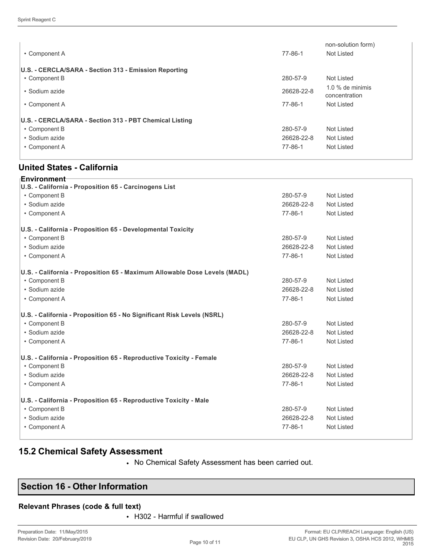| • Component A                                           | 77-86-1       | non-solution form)<br>Not Listed    |
|---------------------------------------------------------|---------------|-------------------------------------|
| U.S. - CERCLA/SARA - Section 313 - Emission Reporting   |               |                                     |
| • Component B                                           | 280-57-9      | Not Listed                          |
| • Sodium azide                                          | 26628-22-8    | $1.0\%$ de minimis<br>concentration |
| • Component A                                           | 77-86-1       | Not Listed                          |
| U.S. - CERCLA/SARA - Section 313 - PBT Chemical Listing |               |                                     |
| • Component B                                           | 280-57-9      | Not Listed                          |
| • Sodium azide                                          | 26628-22-8    | Not Listed                          |
| • Component A                                           | $77 - 86 - 1$ | Not Listed                          |

#### **United States - California**

| Environment<br>U.S. - California - Proposition 65 - Carcinogens List      |            |                   |
|---------------------------------------------------------------------------|------------|-------------------|
| • Component B                                                             | 280-57-9   | <b>Not Listed</b> |
| · Sodium azide                                                            | 26628-22-8 | <b>Not Listed</b> |
| • Component A                                                             | 77-86-1    | <b>Not Listed</b> |
| U.S. - California - Proposition 65 - Developmental Toxicity               |            |                   |
| • Component B                                                             | 280-57-9   | <b>Not Listed</b> |
| · Sodium azide                                                            | 26628-22-8 | <b>Not Listed</b> |
| • Component A                                                             | 77-86-1    | <b>Not Listed</b> |
| U.S. - California - Proposition 65 - Maximum Allowable Dose Levels (MADL) |            |                   |
| • Component B                                                             | 280-57-9   | <b>Not Listed</b> |
| · Sodium azide                                                            | 26628-22-8 | Not Listed        |
| • Component A                                                             | 77-86-1    | <b>Not Listed</b> |
| U.S. - California - Proposition 65 - No Significant Risk Levels (NSRL)    |            |                   |
| • Component B                                                             | 280-57-9   | <b>Not Listed</b> |
| · Sodium azide                                                            | 26628-22-8 | Not Listed        |
| • Component A                                                             | 77-86-1    | <b>Not Listed</b> |
| U.S. - California - Proposition 65 - Reproductive Toxicity - Female       |            |                   |
| • Component B                                                             | 280-57-9   | <b>Not Listed</b> |
| · Sodium azide                                                            | 26628-22-8 | <b>Not Listed</b> |
| • Component A                                                             | 77-86-1    | <b>Not Listed</b> |
| U.S. - California - Proposition 65 - Reproductive Toxicity - Male         |            |                   |
| • Component B                                                             | 280-57-9   | <b>Not Listed</b> |
| · Sodium azide                                                            | 26628-22-8 | <b>Not Listed</b> |
| • Component A                                                             | 77-86-1    | <b>Not Listed</b> |
|                                                                           |            |                   |

# **15.2 Chemical Safety Assessment**

• No Chemical Safety Assessment has been carried out.

## **Section 16 - Other Information**

#### **Relevant Phrases (code & full text)**

• H302 - Harmful if swallowed